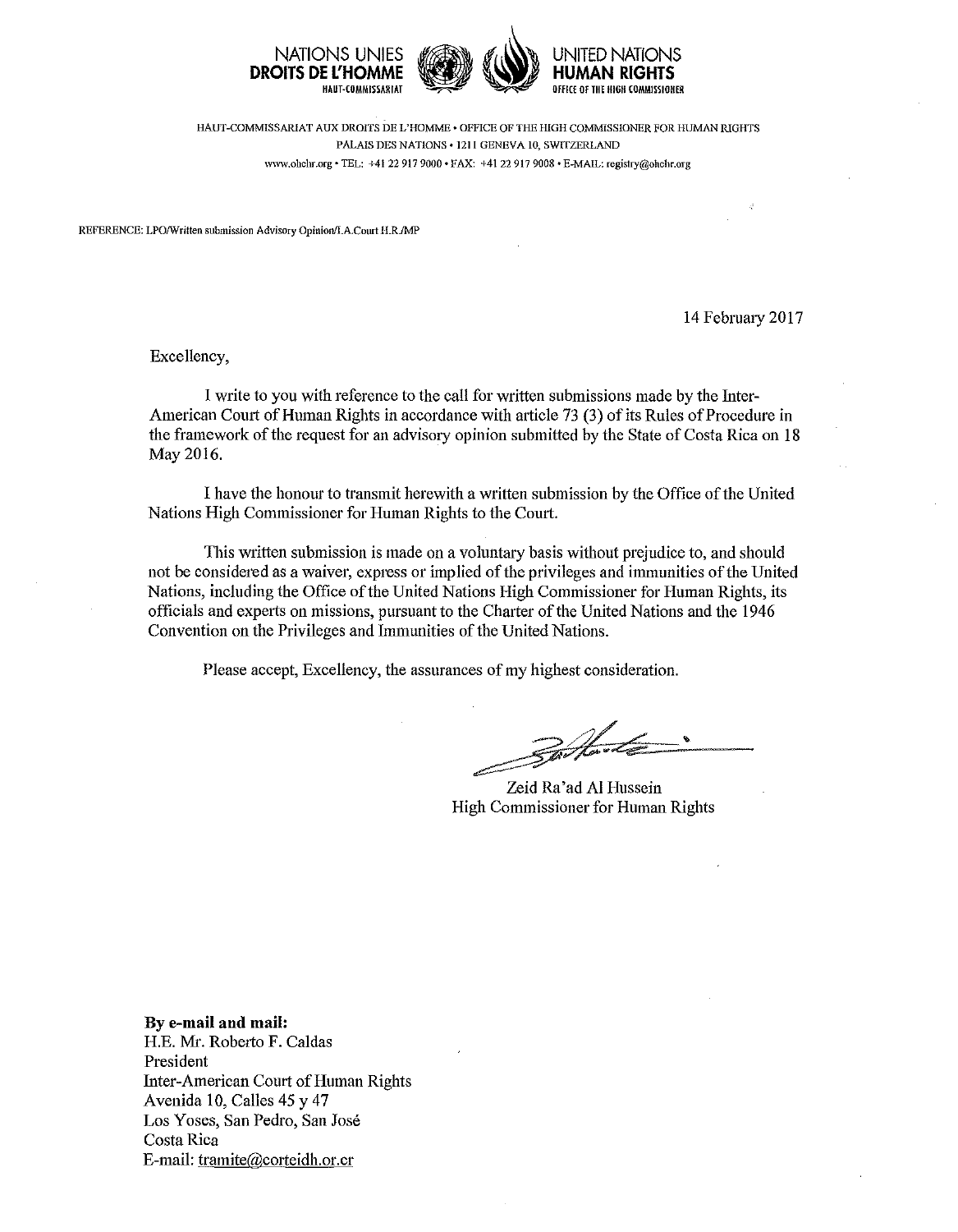

HAUT-COMMISSARIAT AUX DROITS DE L'HOMME • OFFICE OF THE HIGH COMMISSIONER FOR HUMAN RIGHTS **PALAIS DES NATIONS • 121 I GENEVA 10, SWITZERLAND www.ohchr.org • TEL: +41 22 917 9000 • FAX: +41 22 917 9008 • E-MAIL: registry@ohchr.org** 

**REFERENCE: LPO/Written submission Advisory Opinion/I.A.Court II.R.IMP** 

14 Februaty 2017

Excellency,

I write to you with reference to the call for written submissions made by the Inter-American Court of Human Rights in accordance with article 73 (3) of its Rules of Procedure in the framework of the request for an advisory opinion submitted by the State of Costa Rica on 18 May2016.

I have the honour to transmit herewith a written submission by the Office of the United Nations High Commissioner for Human Rights to the Comt.

This written submission is made on a voluntary basis without prejudice to, and should not be considered as a waiver, express or implied of the privileges and immunities of the United Nations, including the Office of the United Nations High Commissioner for Human Rights, its officials and experts on missions, pursuant to the Charter of the United Nations and the 1946 Convention on the Privileges and Immunities of the United Nations.

Please accept, Excellency, the assurances of my highest consideration.

Zeid Ra'ad AI Hussein High Commissioner for Human Rights

**By e-mail and mail:**  H.E. Mr. Robetto F. Caldas President Inter-American Comt of Human Rights Avenida 10, Calles 45 y 47 Los Yoses, San Pedro, San José Costa Rica E-mail: tramite@corteidh.or.cr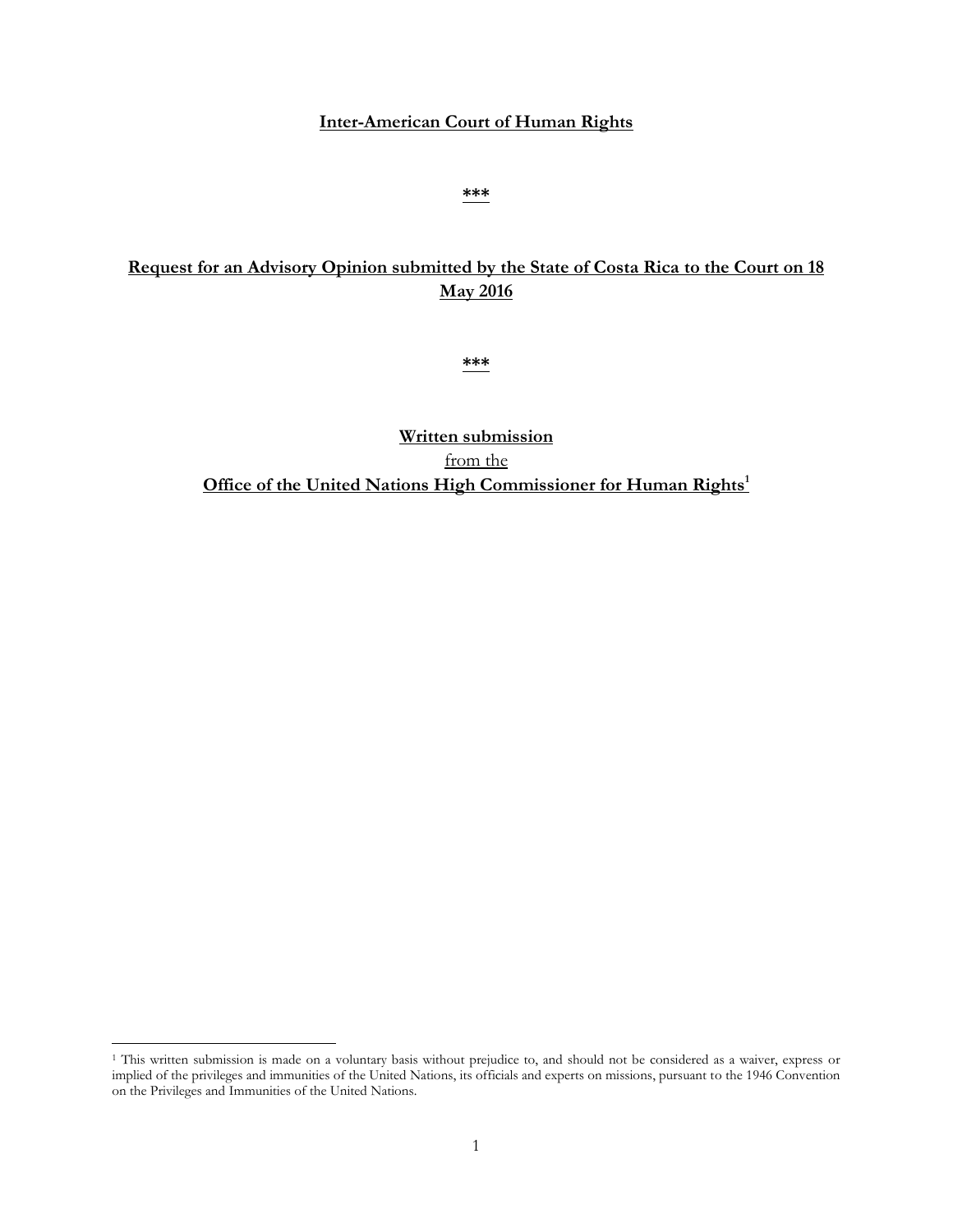### **Inter-American Court of Human Rights**

#### **\*\*\***

# **Request for an Advisory Opinion submitted by the State of Costa Rica to the Court on 18 May 2016**

**\*\*\***

**Written submission**  from the **Office of the United Nations High Commissioner for Human Rights<sup>1</sup>**

 $\overline{\phantom{a}}$ 

<sup>1</sup> This written submission is made on a voluntary basis without prejudice to, and should not be considered as a waiver, express or implied of the privileges and immunities of the United Nations, its officials and experts on missions, pursuant to the 1946 Convention on the Privileges and Immunities of the United Nations.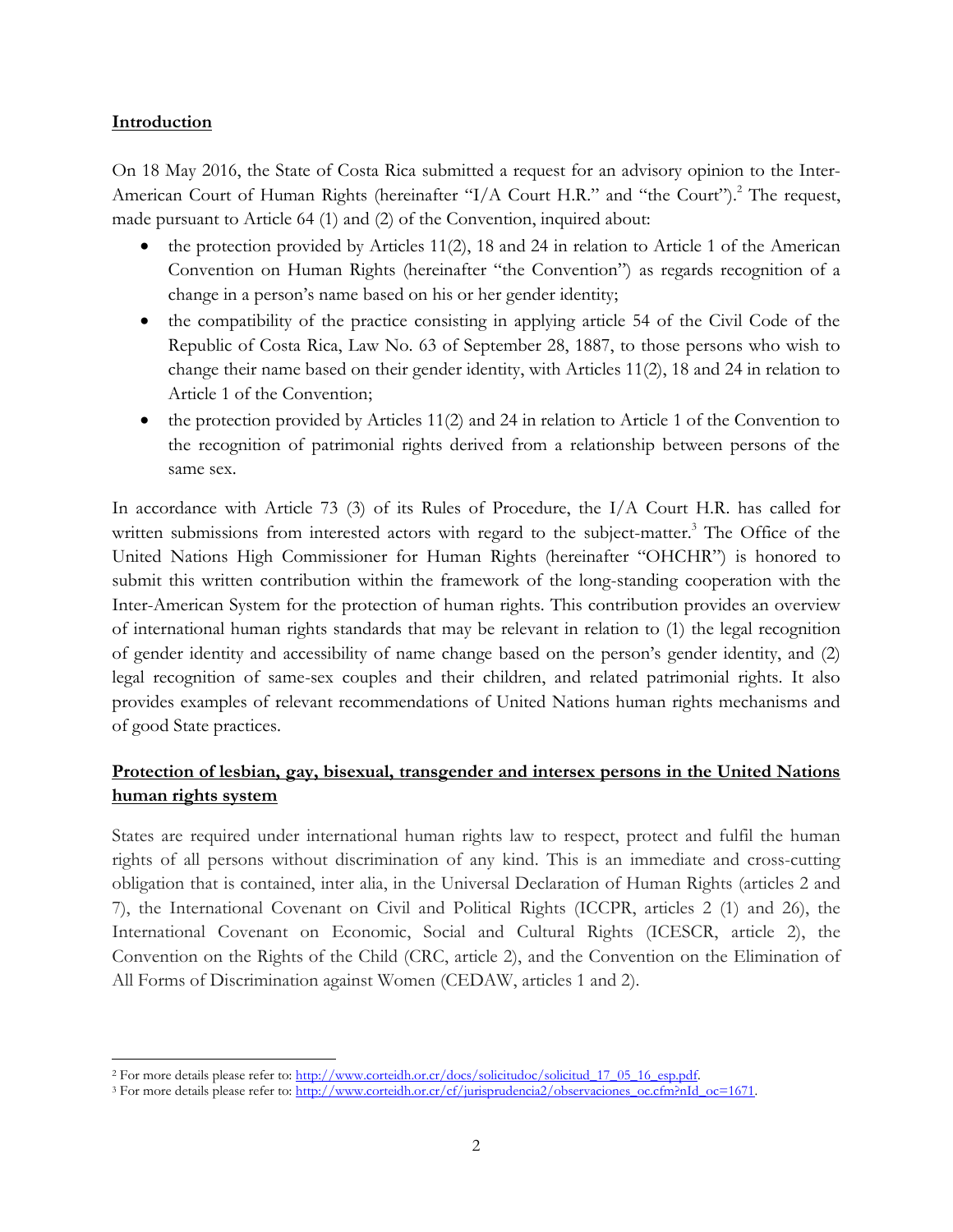### **Introduction**

On 18 May 2016, the State of Costa Rica submitted a request for an advisory opinion to the Inter-American Court of Human Rights (hereinafter "I/A Court H.R." and "the Court").<sup>2</sup> The request, made pursuant to Article 64 (1) and (2) of the Convention, inquired about:

- the protection provided by Articles 11(2), 18 and 24 in relation to Article 1 of the American Convention on Human Rights (hereinafter "the Convention") as regards recognition of a change in a person's name based on his or her gender identity;
- the compatibility of the practice consisting in applying article 54 of the Civil Code of the Republic of Costa Rica, Law No. 63 of September 28, 1887, to those persons who wish to change their name based on their gender identity, with Articles 11(2), 18 and 24 in relation to Article 1 of the Convention;
- the protection provided by Articles 11(2) and 24 in relation to Article 1 of the Convention to the recognition of patrimonial rights derived from a relationship between persons of the same sex.

In accordance with Article 73 (3) of its Rules of Procedure, the I/A Court H.R. has called for written submissions from interested actors with regard to the subject-matter.<sup>3</sup> The Office of the United Nations High Commissioner for Human Rights (hereinafter "OHCHR") is honored to submit this written contribution within the framework of the long-standing cooperation with the Inter-American System for the protection of human rights. This contribution provides an overview of international human rights standards that may be relevant in relation to (1) the legal recognition of gender identity and accessibility of name change based on the person's gender identity, and (2) legal recognition of same-sex couples and their children, and related patrimonial rights. It also provides examples of relevant recommendations of United Nations human rights mechanisms and of good State practices.

## **Protection of lesbian, gay, bisexual, transgender and intersex persons in the United Nations human rights system**

States are required under international human rights law to respect, protect and fulfil the human rights of all persons without discrimination of any kind. This is an immediate and cross-cutting obligation that is contained, inter alia, in the Universal Declaration of Human Rights (articles 2 and 7), the International Covenant on Civil and Political Rights (ICCPR, articles 2 (1) and 26), the International Covenant on Economic, Social and Cultural Rights (ICESCR, article 2), the Convention on the Rights of the Child (CRC, article 2), and the Convention on the Elimination of All Forms of Discrimination against Women (CEDAW, articles 1 and 2).

 $\overline{\phantom{a}}$ <sup>2</sup> For more details please refer to: http://www.corteidh.or.cr/docs/solicitudoc/solicitud 17\_05\_16\_esp.pdf.

<sup>&</sup>lt;sup>3</sup> For more details please refer to: http://www.corteidh.or.cr/cf/jurisprudencia2/observaciones\_oc.cfm?nId\_oc=1671.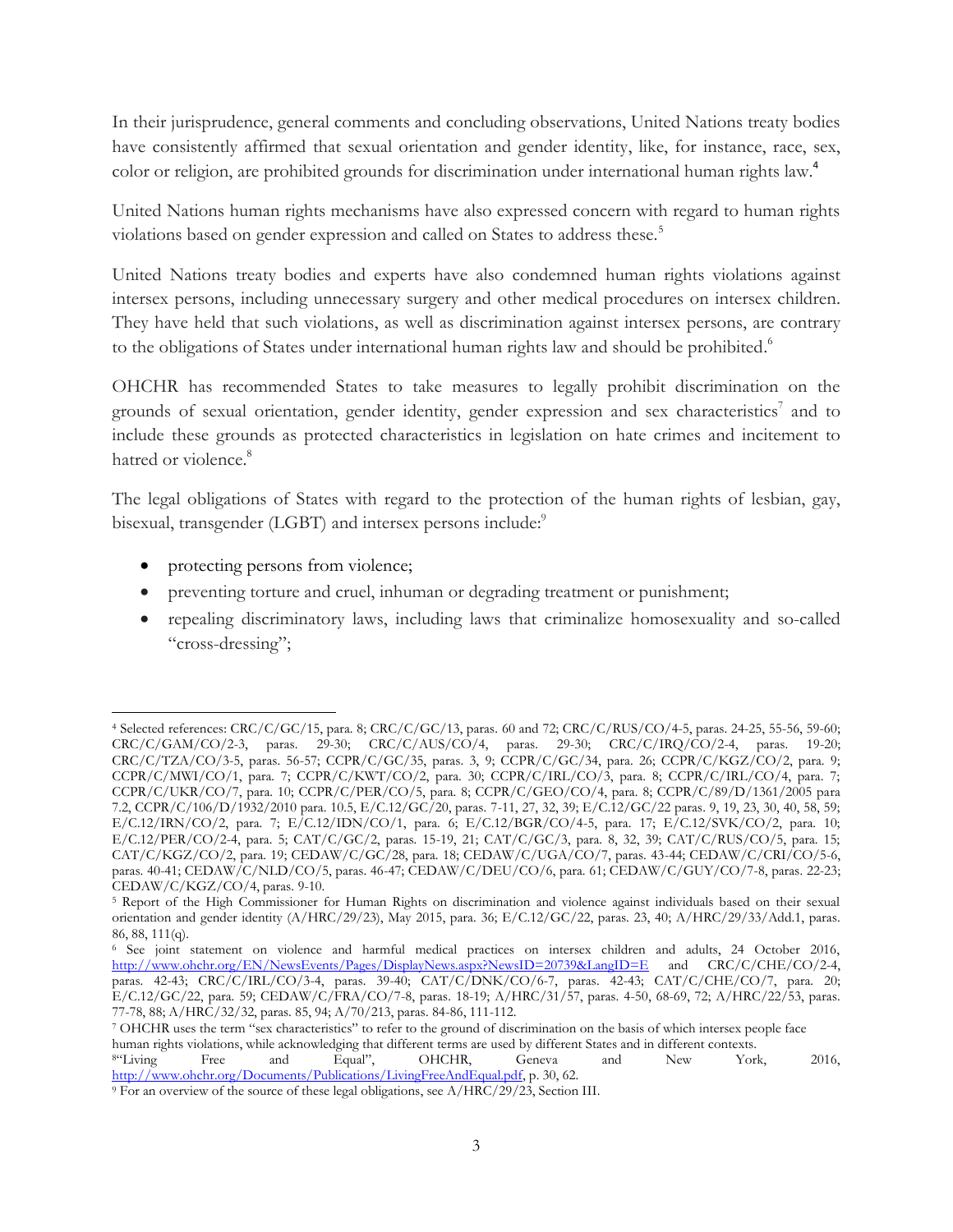In their jurisprudence, general comments and concluding observations, United Nations treaty bodies have consistently affirmed that sexual orientation and gender identity, like, for instance, race, sex, color or religion, are prohibited grounds for discrimination under international human rights law.<sup>4</sup>

United Nations human rights mechanisms have also expressed concern with regard to human rights violations based on gender expression and called on States to address these.<sup>5</sup>

United Nations treaty bodies and experts have also condemned human rights violations against intersex persons, including unnecessary surgery and other medical procedures on intersex children. They have held that such violations, as well as discrimination against intersex persons, are contrary to the obligations of States under international human rights law and should be prohibited.<sup>6</sup>

OHCHR has recommended States to take measures to legally prohibit discrimination on the grounds of sexual orientation, gender identity, gender expression and sex characteristics<sup>7</sup> and to include these grounds as protected characteristics in legislation on hate crimes and incitement to hatred or violence.<sup>8</sup>

The legal obligations of States with regard to the protection of the human rights of lesbian, gay, bisexual, transgender (LGBT) and intersex persons include:<sup>9</sup>

- protecting persons from violence;
- preventing torture and cruel, inhuman or degrading treatment or punishment;
- repealing discriminatory laws, including laws that criminalize homosexuality and so-called "cross-dressing";

l <sup>4</sup> Selected references: CRC/C/GC/15, para. 8; CRC/C/GC/13, paras. 60 and 72; CRC/C/RUS/CO/4-5, paras. 24-25, 55-56, 59-60; CRC/C/GAM/CO/2-3, paras. 29-30; CRC/C/AUS/CO/4, paras. 29-30; CRC/C/IRQ/CO/2-4, paras. 19-20; CRC/C/TZA/CO/3-5, paras. 56-57; CCPR/C/GC/35, paras. 3, 9; CCPR/C/GC/34, para. 26; CCPR/C/KGZ/CO/2, para. 9; CCPR/C/MWI/CO/1, para. 7; CCPR/C/KWT/CO/2, para. 30; CCPR/C/IRL/CO/3, para. 8; CCPR/C/IRL/CO/4, para. 7; CCPR/C/UKR/CO/7, para. 10; CCPR/C/PER/CO/5, para. 8; CCPR/C/GEO/CO/4, para. 8; CCPR/C/89/D/1361/2005 para 7.2, CCPR/C/106/D/1932/2010 para. 10.5, E/C.12/GC/20, paras. 7-11, 27, 32, 39; E/C.12/GC/22 paras. 9, 19, 23, 30, 40, 58, 59; E/C.12/IRN/CO/2, para. 7; E/C.12/IDN/CO/1, para. 6; E/C.12/BGR/CO/4-5, para. 17; E/C.12/SVK/CO/2, para. 10; E/C.12/PER/CO/2-4, para. 5; CAT/C/GC/2, paras. 15-19, 21; CAT/C/GC/3, para. 8, 32, 39; CAT/C/RUS/CO/5, para. 15; CAT/C/KGZ/CO/2, para. 19; CEDAW/C/GC/28, para. 18; CEDAW/C/UGA/CO/7, paras. 43-44; CEDAW/C/CRI/CO/5-6, paras. 40-41; CEDAW/C/NLD/CO/5, paras. 46-47; CEDAW/C/DEU/CO/6, para. 61; CEDAW/C/GUY/CO/7-8, paras. 22-23; CEDAW/C/KGZ/CO/4, paras. 9-10.

<sup>5</sup> Report of the High Commissioner for Human Rights on discrimination and violence against individuals based on their sexual orientation and gender identity (A/HRC/29/23), May 2015, para. 36; E/C.12/GC/22, paras. 23, 40; A/HRC/29/33/Add.1, paras. 86, 88, 111(q).

<sup>&</sup>lt;sup>6</sup> See joint statement on violence and harmful medical practices on intersex children and adults, 24 October 2016, http://www.ohchr.org/EN/NewsEvents/Pages/DisplayNews.aspx?NewsID=20739&LangID=E and CRC/C/CHE/CO/2-4, <http://www.ohchr.org/EN/NewsEvents/Pages/DisplayNews.aspx?NewsID=20739&LangID=E> paras. 42-43; CRC/C/IRL/CO/3-4, paras. 39-40; CAT/C/DNK/CO/6-7, paras. 42-43; CAT/C/CHE/CO/7, para. 20; E/C.12/GC/22, para. 59; CEDAW/C/FRA/CO/7-8, paras. 18-19; A/HRC/31/57, paras. 4-50, 68-69, 72; A/HRC/22/53, paras. 77-78, 88; A/HRC/32/32, paras. 85, 94; A/70/213, paras. 84-86, 111-112.

<sup>7</sup> OHCHR uses the term "sex characteristics" to refer to the ground of discrimination on the basis of which intersex people face human rights violations, while acknowledging that different terms are used by different States and in different contexts. <sup>8</sup>"Living Free and Equal", OHCHR, Geneva and New York, 2016, [http://www.ohchr.org/Documents/Publications/LivingFreeAndEqual.pdf,](http://www.ohchr.org/Documents/Publications/LivingFreeAndEqual.pdf) p. 30, 62.

<sup>9</sup> For an overview of the source of these legal obligations, see A/HRC/29/23, Section III.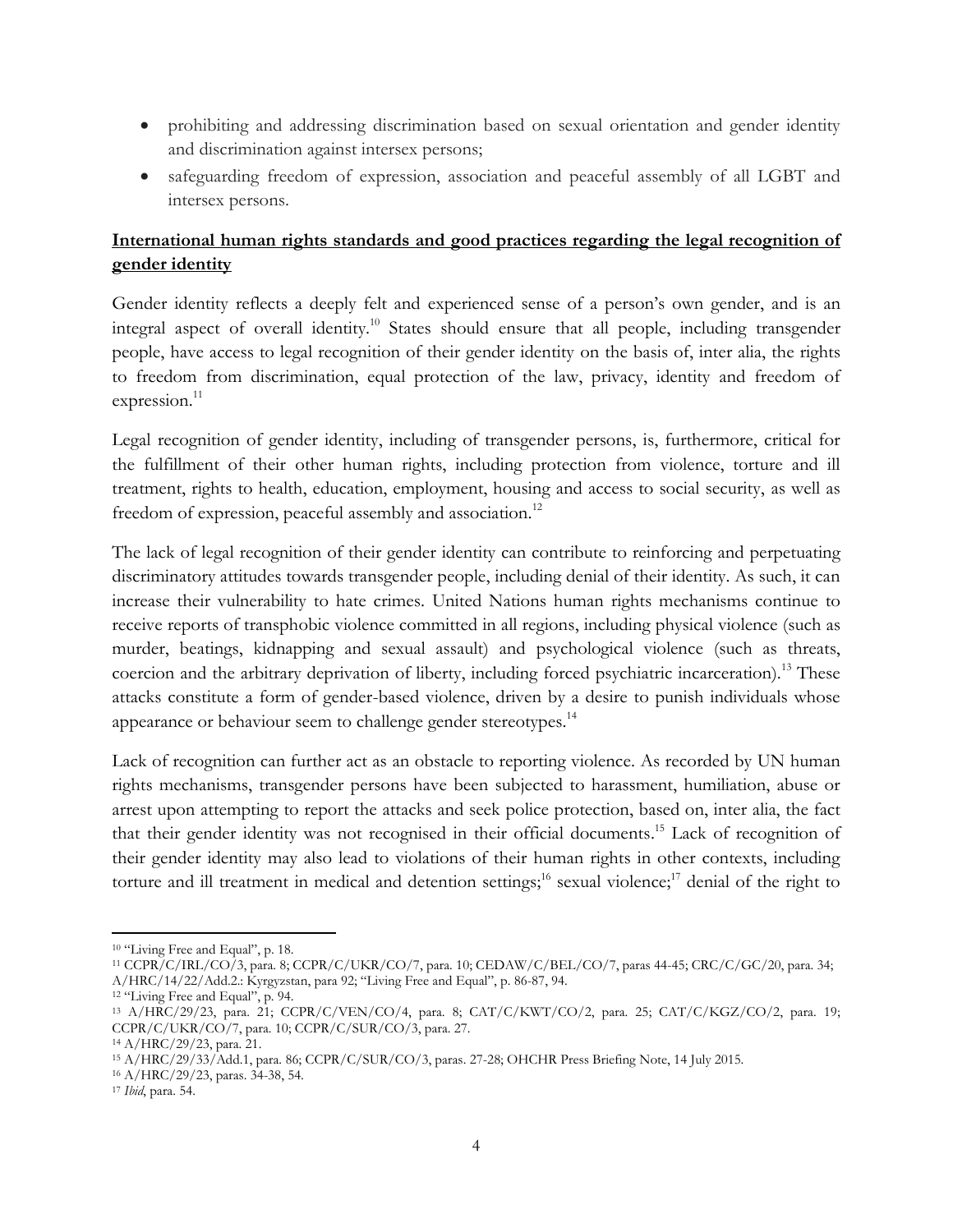- prohibiting and addressing discrimination based on sexual orientation and gender identity and discrimination against intersex persons;
- safeguarding freedom of expression, association and peaceful assembly of all LGBT and intersex persons.

# **International human rights standards and good practices regarding the legal recognition of gender identity**

Gender identity reflects a deeply felt and experienced sense of a person's own gender, and is an integral aspect of overall identity.<sup>10</sup> States should ensure that all people, including transgender people, have access to legal recognition of their gender identity on the basis of, inter alia, the rights to freedom from discrimination, equal protection of the law, privacy, identity and freedom of expression.<sup>11</sup>

Legal recognition of gender identity, including of transgender persons, is, furthermore, critical for the fulfillment of their other human rights, including protection from violence, torture and ill treatment, rights to health, education, employment, housing and access to social security, as well as freedom of expression, peaceful assembly and association.<sup>12</sup>

The lack of legal recognition of their gender identity can contribute to reinforcing and perpetuating discriminatory attitudes towards transgender people, including denial of their identity. As such, it can increase their vulnerability to hate crimes. United Nations human rights mechanisms continue to receive reports of transphobic violence committed in all regions, including physical violence (such as murder, beatings, kidnapping and sexual assault) and psychological violence (such as threats, coercion and the arbitrary deprivation of liberty, including forced psychiatric incarceration).<sup>13</sup> These attacks constitute a form of gender-based violence, driven by a desire to punish individuals whose appearance or behaviour seem to challenge gender stereotypes.<sup>14</sup>

Lack of recognition can further act as an obstacle to reporting violence. As recorded by UN human rights mechanisms, transgender persons have been subjected to harassment, humiliation, abuse or arrest upon attempting to report the attacks and seek police protection, based on, inter alia, the fact that their gender identity was not recognised in their official documents.<sup>15</sup> Lack of recognition of their gender identity may also lead to violations of their human rights in other contexts, including torture and ill treatment in medical and detention settings;<sup>16</sup> sexual violence;<sup>17</sup> denial of the right to

l <sup>10</sup> "Living Free and Equal", p. 18.

<sup>11</sup> CCPR/C/IRL/CO/3, para. 8; CCPR/C/UKR/CO/7, para. 10; CEDAW/C/BEL/CO/7, paras 44-45; CRC/C/GC/20, para. 34; A/HRC/14/22/Add.2.: Kyrgyzstan, para 92; "Living Free and Equal", p. 86-87, 94.

<sup>&</sup>lt;sup>12</sup> "Living Free and Equal", p. 94.

<sup>13</sup> A/HRC/29/23, para. 21; CCPR/C/VEN/CO/4, para. 8; CAT/C/KWT/CO/2, para. 25; CAT/C/KGZ/CO/2, para. 19; CCPR/C/UKR/CO/7, para. 10; CCPR/C/SUR/CO/3, para. 27.

<sup>14</sup> A/HRC/29/23, para. 21.

<sup>15</sup> A/HRC/29/33/Add.1, para. 86; CCPR/C/SUR/CO/3, paras. 27-28; OHCHR Press Briefing Note, 14 July 2015.

<sup>16</sup> A/HRC/29/23, paras. 34-38, 54.

<sup>17</sup> *Ibid*, para. 54.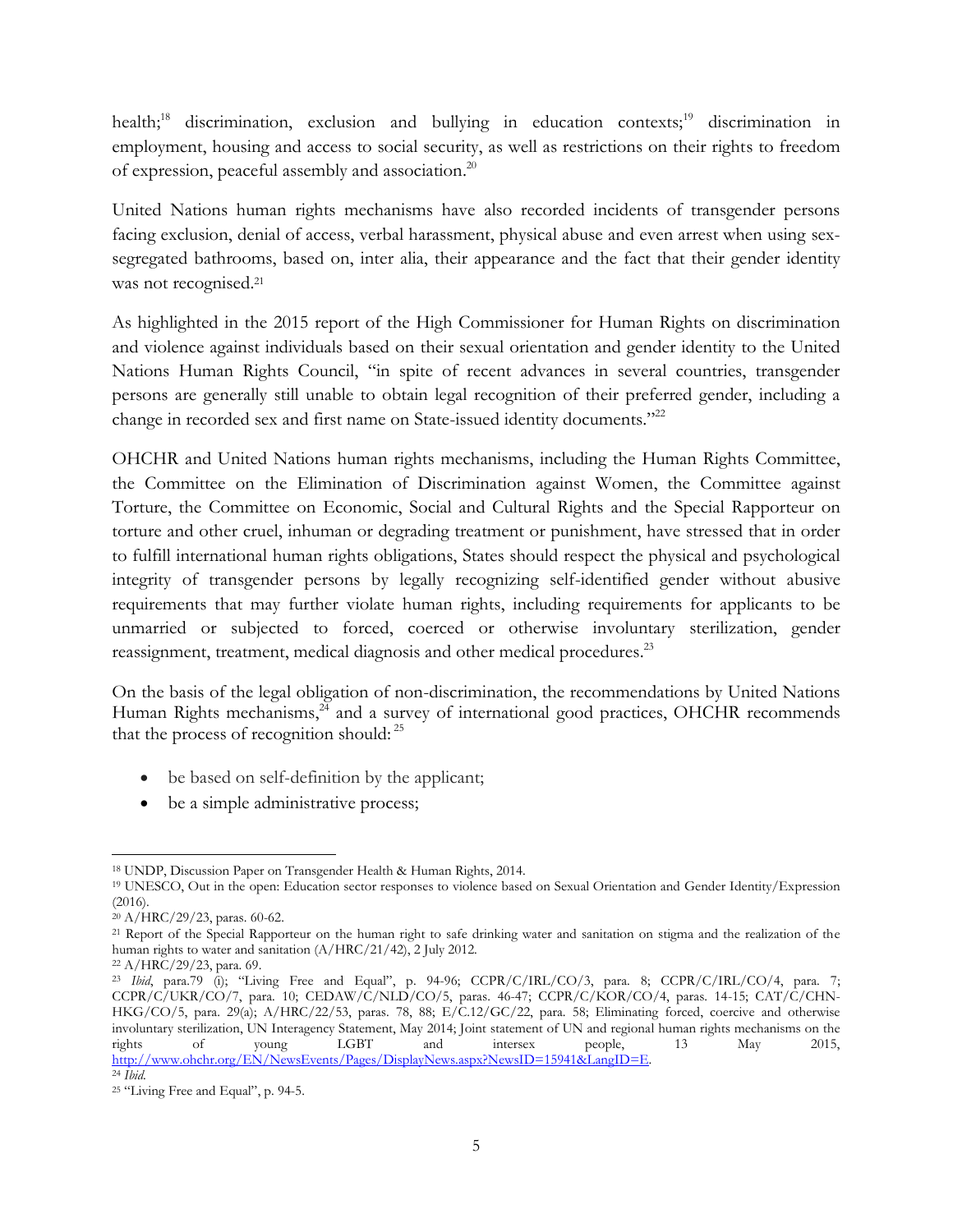health;<sup>18</sup> discrimination, exclusion and bullying in education contexts;<sup>19</sup> discrimination in employment, housing and access to social security, as well as restrictions on their rights to freedom of expression, peaceful assembly and association.<sup>20</sup>

United Nations human rights mechanisms have also recorded incidents of transgender persons facing exclusion, denial of access, verbal harassment, physical abuse and even arrest when using sexsegregated bathrooms, based on, inter alia, their appearance and the fact that their gender identity was not recognised. 21

As highlighted in the 2015 report of the High Commissioner for Human Rights on discrimination and violence against individuals based on their sexual orientation and gender identity to the United Nations Human Rights Council, "in spite of recent advances in several countries, transgender persons are generally still unable to obtain legal recognition of their preferred gender, including a change in recorded sex and first name on State-issued identity documents."<sup>22</sup>

OHCHR and United Nations human rights mechanisms, including the Human Rights Committee, the Committee on the Elimination of Discrimination against Women, the Committee against Torture, the Committee on Economic, Social and Cultural Rights and the Special Rapporteur on torture and other cruel, inhuman or degrading treatment or punishment, have stressed that in order to fulfill international human rights obligations, States should respect the physical and psychological integrity of transgender persons by legally recognizing self-identified gender without abusive requirements that may further violate human rights, including requirements for applicants to be unmarried or subjected to forced, coerced or otherwise involuntary sterilization, gender reassignment, treatment, medical diagnosis and other medical procedures.<sup>23</sup>

On the basis of the legal obligation of non-discrimination, the recommendations by United Nations Human Rights mechanisms,<sup>24</sup> and a survey of international good practices, OHCHR recommends that the process of recognition should:<sup>25</sup>

- be based on self-definition by the applicant;
- be a simple administrative process;

 $\overline{\phantom{a}}$ <sup>18</sup> UNDP, Discussion Paper on Transgender Health & Human Rights, 2014.

<sup>19</sup> UNESCO, Out in the open: Education sector responses to violence based on Sexual Orientation and Gender Identity/Expression (2016).

<sup>20</sup> A/HRC/29/23, paras. 60-62.

<sup>21</sup> Report of the Special Rapporteur on the human right to safe drinking water and sanitation on stigma and the realization of the human rights to water and sanitation (A/HRC/21/42), 2 July 2012.

<sup>22</sup> A/HRC/29/23, para. 69.

<sup>23</sup> *Ibid*, para.79 (i); "Living Free and Equal", p. 94-96; CCPR/C/IRL/CO/3, para. 8; CCPR/C/IRL/CO/4, para. 7; CCPR/C/UKR/CO/7, para. 10; CEDAW/C/NLD/CO/5, paras. 46-47; CCPR/C/KOR/CO/4, paras. 14-15; CAT/C/CHN-HKG/CO/5, para. 29(a); A/HRC/22/53, paras. 78, 88; E/C.12/GC/22, para. 58; Eliminating forced, coercive and otherwise involuntary sterilization, UN Interagency Statement, May 2014; Joint statement of UN and regional human rights mechanisms on the rights of young LGBT and intersex people, 13 May 2015, [http://www.ohchr.org/EN/NewsEvents/Pages/DisplayNews.aspx?NewsID=15941&LangID=E.](http://www.ohchr.org/EN/NewsEvents/Pages/DisplayNews.aspx?NewsID=15941&LangID=E) <sup>24</sup> *Ibid*.

<sup>25</sup> "Living Free and Equal", p. 94-5.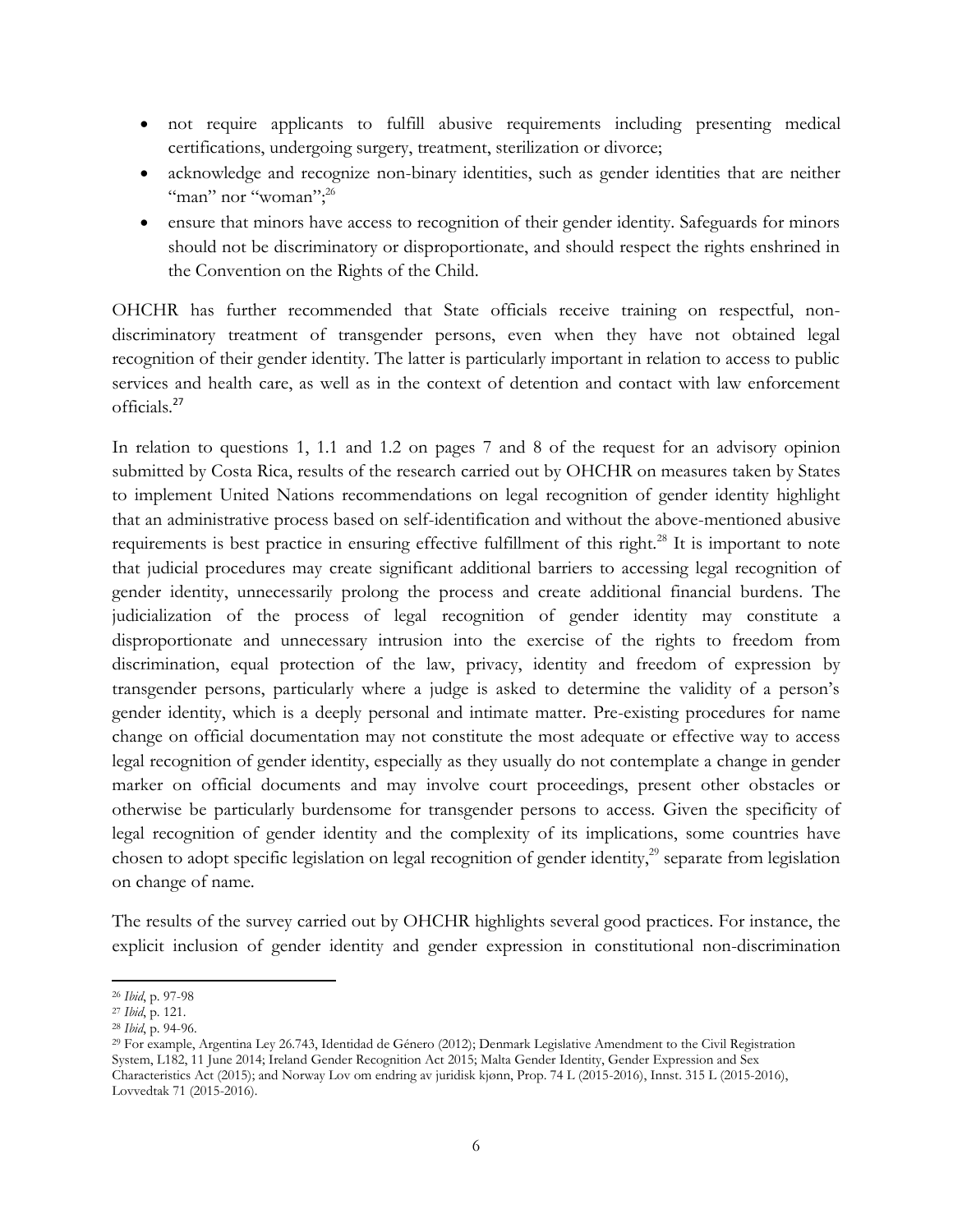- not require applicants to fulfill abusive requirements including presenting medical certifications, undergoing surgery, treatment, sterilization or divorce;
- acknowledge and recognize non-binary identities, such as gender identities that are neither "man" nor "woman";<sup>26</sup>
- ensure that minors have access to recognition of their gender identity. Safeguards for minors should not be discriminatory or disproportionate, and should respect the rights enshrined in the Convention on the Rights of the Child.

OHCHR has further recommended that State officials receive training on respectful, nondiscriminatory treatment of transgender persons, even when they have not obtained legal recognition of their gender identity. The latter is particularly important in relation to access to public services and health care, as well as in the context of detention and contact with law enforcement officials.<sup>27</sup>

In relation to questions 1, 1.1 and 1.2 on pages 7 and 8 of the request for an advisory opinion submitted by Costa Rica, results of the research carried out by OHCHR on measures taken by States to implement United Nations recommendations on legal recognition of gender identity highlight that an administrative process based on self-identification and without the above-mentioned abusive requirements is best practice in ensuring effective fulfillment of this right.<sup>28</sup> It is important to note that judicial procedures may create significant additional barriers to accessing legal recognition of gender identity, unnecessarily prolong the process and create additional financial burdens. The judicialization of the process of legal recognition of gender identity may constitute a disproportionate and unnecessary intrusion into the exercise of the rights to freedom from discrimination, equal protection of the law, privacy, identity and freedom of expression by transgender persons, particularly where a judge is asked to determine the validity of a person's gender identity, which is a deeply personal and intimate matter. Pre-existing procedures for name change on official documentation may not constitute the most adequate or effective way to access legal recognition of gender identity, especially as they usually do not contemplate a change in gender marker on official documents and may involve court proceedings, present other obstacles or otherwise be particularly burdensome for transgender persons to access. Given the specificity of legal recognition of gender identity and the complexity of its implications, some countries have chosen to adopt specific legislation on legal recognition of gender identity,<sup>29</sup> separate from legislation on change of name.

The results of the survey carried out by OHCHR highlights several good practices. For instance, the explicit inclusion of gender identity and gender expression in constitutional non-discrimination

 $\overline{\phantom{a}}$ <sup>26</sup> *Ibid*, p. 97-98

<sup>27</sup> *Ibid*, p. 121.

<sup>28</sup> *Ibid*, p. 94-96.

<sup>29</sup> For example, Argentina Ley 26.743, Identidad de Género (2012); Denmark Legislative Amendment to the Civil Registration System, L182, 11 June 2014; Ireland Gender Recognition Act 2015; Malta Gender Identity, Gender Expression and Sex Characteristics Act (2015); and Norway Lov om endring av juridisk kjønn, Prop. 74 L (2015-2016), Innst. 315 L (2015-2016), Lovvedtak 71 (2015-2016).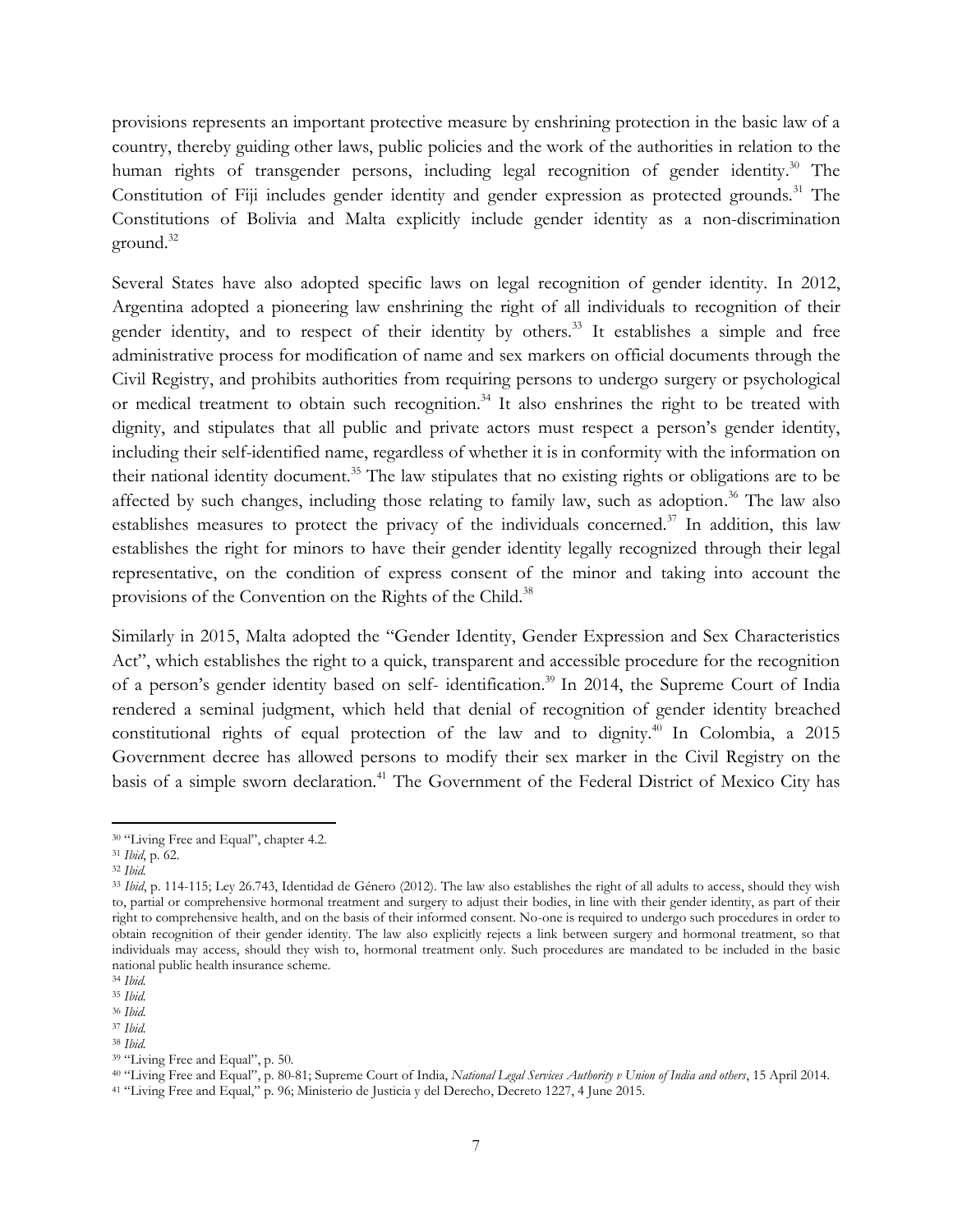provisions represents an important protective measure by enshrining protection in the basic law of a country, thereby guiding other laws, public policies and the work of the authorities in relation to the human rights of transgender persons, including legal recognition of gender identity. <sup>30</sup> The Constitution of Fiji includes gender identity and gender expression as protected grounds.<sup>31</sup> The Constitutions of Bolivia and Malta explicitly include gender identity as a non-discrimination ground.<sup>32</sup>

Several States have also adopted specific laws on legal recognition of gender identity. In 2012, Argentina adopted a pioneering law enshrining the right of all individuals to recognition of their gender identity, and to respect of their identity by others.<sup>33</sup> It establishes a simple and free administrative process for modification of name and sex markers on official documents through the Civil Registry, and prohibits authorities from requiring persons to undergo surgery or psychological or medical treatment to obtain such recognition.<sup>34</sup> It also enshrines the right to be treated with dignity, and stipulates that all public and private actors must respect a person's gender identity, including their self-identified name, regardless of whether it is in conformity with the information on their national identity document.<sup>35</sup> The law stipulates that no existing rights or obligations are to be affected by such changes, including those relating to family law, such as adoption.<sup>36</sup> The law also establishes measures to protect the privacy of the individuals concerned.<sup>37</sup> In addition, this law establishes the right for minors to have their gender identity legally recognized through their legal representative, on the condition of express consent of the minor and taking into account the provisions of the Convention on the Rights of the Child.<sup>38</sup>

Similarly in 2015, Malta adopted the "Gender Identity, Gender Expression and Sex Characteristics Act", which establishes the right to a quick, transparent and accessible procedure for the recognition of a person's gender identity based on self- identification.<sup>39</sup> In 2014, the Supreme Court of India rendered a seminal judgment, which held that denial of recognition of gender identity breached constitutional rights of equal protection of the law and to dignity.<sup>40</sup> In Colombia, a  $2015$ Government decree has allowed persons to modify their sex marker in the Civil Registry on the basis of a simple sworn declaration.<sup>41</sup> The Government of the Federal District of Mexico City has

 $\overline{\phantom{a}}$ 

<sup>&</sup>lt;sup>30</sup> "Living Free and Equal", chapter 4.2.

<sup>31</sup> *Ibid*, p. 62.

<sup>32</sup> *Ibid.*

<sup>33</sup> *Ibid*, p. 114-115; Ley 26.743, Identidad de Género (2012). The law also establishes the right of all adults to access, should they wish to, partial or comprehensive hormonal treatment and surgery to adjust their bodies, in line with their gender identity, as part of their right to comprehensive health, and on the basis of their informed consent. No-one is required to undergo such procedures in order to obtain recognition of their gender identity. The law also explicitly rejects a link between surgery and hormonal treatment, so that individuals may access, should they wish to, hormonal treatment only. Such procedures are mandated to be included in the basic national public health insurance scheme.

<sup>34</sup> *Ibid.*

<sup>35</sup> *Ibid.*

<sup>36</sup> *Ibid.*

<sup>37</sup> *Ibid.* <sup>38</sup> *Ibid.*

<sup>39</sup> "Living Free and Equal", p. 50.

<sup>40</sup> "Living Free and Equal", p. 80-81; Supreme Court of India, *National Legal Services Authority v Union of India and others*, 15 April 2014.

<sup>41</sup> "Living Free and Equal," p. 96; Ministerio de Justicia y del Derecho, Decreto 1227, 4 June 2015.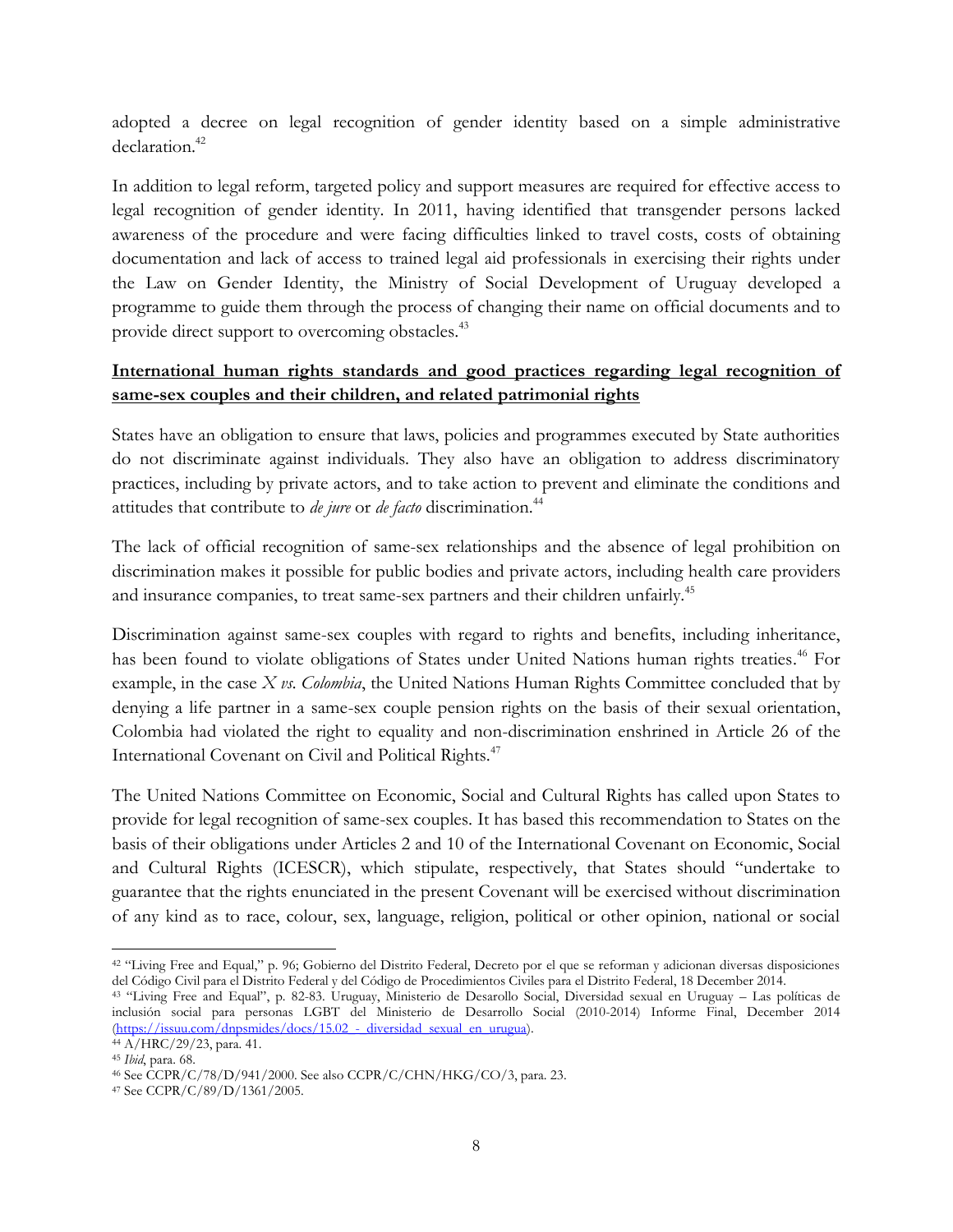adopted a decree on legal recognition of gender identity based on a simple administrative declaration.<sup>42</sup>

In addition to legal reform, targeted policy and support measures are required for effective access to legal recognition of gender identity. In 2011, having identified that transgender persons lacked awareness of the procedure and were facing difficulties linked to travel costs, costs of obtaining documentation and lack of access to trained legal aid professionals in exercising their rights under the Law on Gender Identity, the Ministry of Social Development of Uruguay developed a programme to guide them through the process of changing their name on official documents and to provide direct support to overcoming obstacles.<sup>43</sup>

### **International human rights standards and good practices regarding legal recognition of same-sex couples and their children, and related patrimonial rights**

States have an obligation to ensure that laws, policies and programmes executed by State authorities do not discriminate against individuals. They also have an obligation to address discriminatory practices, including by private actors, and to take action to prevent and eliminate the conditions and attitudes that contribute to *de jure* or *de facto* discrimination.<sup>44</sup>

The lack of official recognition of same-sex relationships and the absence of legal prohibition on discrimination makes it possible for public bodies and private actors, including health care providers and insurance companies, to treat same-sex partners and their children unfairly.<sup>45</sup>

Discrimination against same-sex couples with regard to rights and benefits, including inheritance, has been found to violate obligations of States under United Nations human rights treaties.<sup>46</sup> For example, in the case *X vs. Colombia*, the United Nations Human Rights Committee concluded that by denying a life partner in a same-sex couple pension rights on the basis of their sexual orientation, Colombia had violated the right to equality and non-discrimination enshrined in Article 26 of the International Covenant on Civil and Political Rights.<sup>47</sup>

The United Nations Committee on Economic, Social and Cultural Rights has called upon States to provide for legal recognition of same-sex couples. It has based this recommendation to States on the basis of their obligations under Articles 2 and 10 of the International Covenant on Economic, Social and Cultural Rights (ICESCR), which stipulate, respectively, that States should "undertake to guarantee that the rights enunciated in the present Covenant will be exercised without discrimination of any kind as to race, colour, sex, language, religion, political or other opinion, national or social

 $\overline{\phantom{a}}$ <sup>42</sup> "Living Free and Equal," p. 96; Gobierno del Distrito Federal, Decreto por el que se reforman y adicionan diversas disposiciones del Código Civil para el Distrito Federal y del Código de Procedimientos Civiles para el Distrito Federal, 18 December 2014.

<sup>43</sup> "Living Free and Equal", p. 82-83. Uruguay, Ministerio de Desarollo Social, Diversidad sexual en Uruguay – Las políticas de inclusión social para personas LGBT del Ministerio de Desarrollo Social (2010-2014) Informe Final, December 2014 (https://issuu.com/dnpsmides/docs/15.02 - diversidad sexual en urugua).

<sup>44</sup> A/HRC/29/23, para. 41. <sup>45</sup> *Ibid*, para. 68.

<sup>46</sup> See CCPR/C/78/D/941/2000. See also CCPR/C/CHN/HKG/CO/3, para. 23.

<sup>47</sup> See CCPR/C/89/D/1361/2005.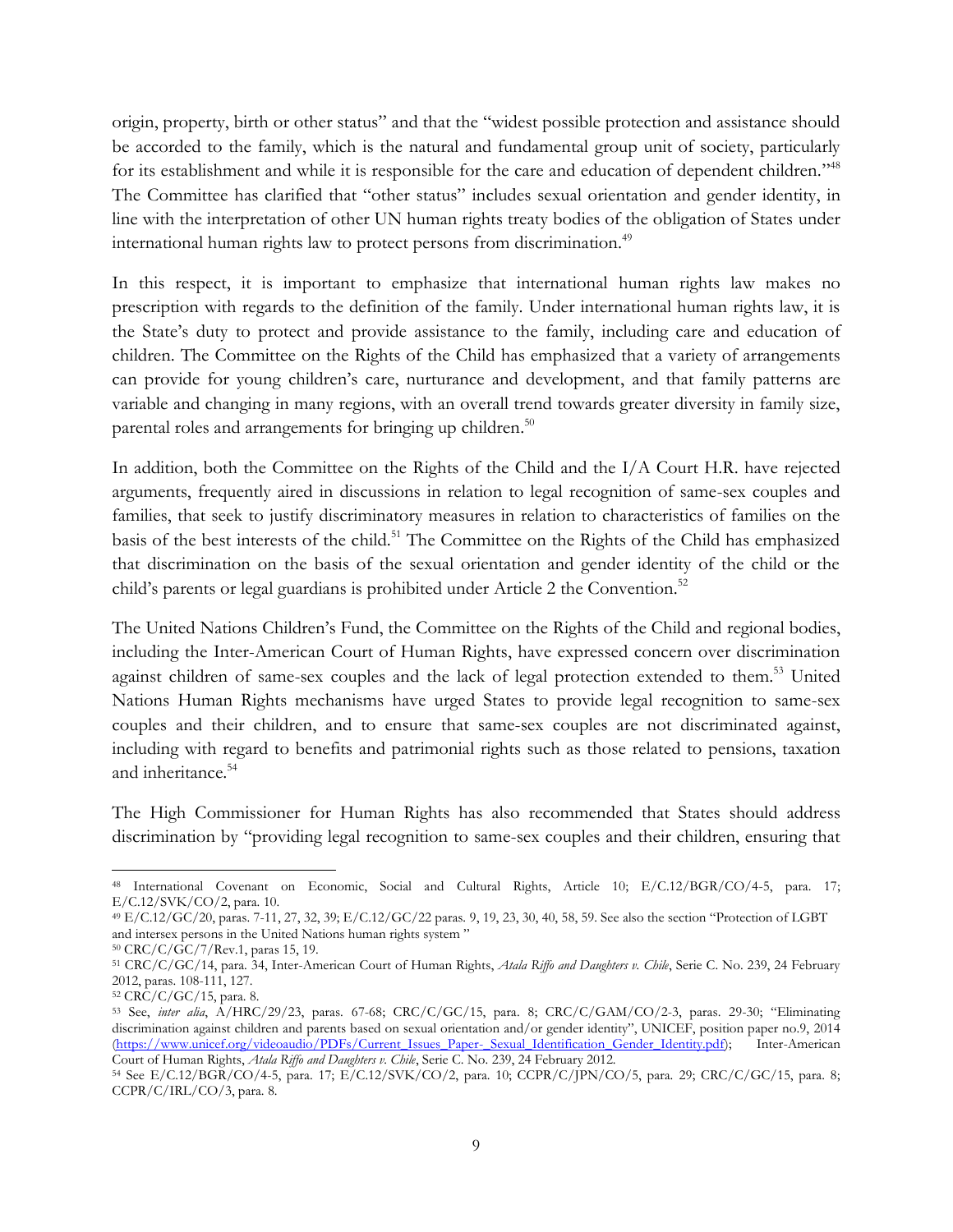origin, property, birth or other status" and that the "widest possible protection and assistance should be accorded to the family, which is the natural and fundamental group unit of society, particularly for its establishment and while it is responsible for the care and education of dependent children."<sup>48</sup> The Committee has clarified that "other status" includes sexual orientation and gender identity, in line with the interpretation of other UN human rights treaty bodies of the obligation of States under international human rights law to protect persons from discrimination.<sup>49</sup>

In this respect, it is important to emphasize that international human rights law makes no prescription with regards to the definition of the family. Under international human rights law, it is the State's duty to protect and provide assistance to the family, including care and education of children. The Committee on the Rights of the Child has emphasized that a variety of arrangements can provide for young children's care, nurturance and development, and that family patterns are variable and changing in many regions, with an overall trend towards greater diversity in family size, parental roles and arrangements for bringing up children.<sup>50</sup>

In addition, both the Committee on the Rights of the Child and the I/A Court H.R. have rejected arguments, frequently aired in discussions in relation to legal recognition of same-sex couples and families, that seek to justify discriminatory measures in relation to characteristics of families on the basis of the best interests of the child.<sup>51</sup> The Committee on the Rights of the Child has emphasized that discrimination on the basis of the sexual orientation and gender identity of the child or the child's parents or legal guardians is prohibited under Article 2 the Convention.<sup>52</sup>

The United Nations Children's Fund, the Committee on the Rights of the Child and regional bodies, including the Inter-American Court of Human Rights, have expressed concern over discrimination against children of same-sex couples and the lack of legal protection extended to them.<sup>53</sup> United Nations Human Rights mechanisms have urged States to provide legal recognition to same-sex couples and their children, and to ensure that same-sex couples are not discriminated against, including with regard to benefits and patrimonial rights such as those related to pensions, taxation and inheritance.<sup>54</sup>

The High Commissioner for Human Rights has also recommended that States should address discrimination by "providing legal recognition to same-sex couples and their children, ensuring that

 $\overline{\phantom{a}}$ <sup>48</sup> International Covenant on Economic, Social and Cultural Rights, Article 10; E/C.12/BGR/CO/4-5, para. 17; E/C.12/SVK/CO/2, para. 10.

<sup>49</sup> E/C.12/GC/20, paras. 7-11, 27, 32, 39; E/C.12/GC/22 paras. 9, 19, 23, 30, 40, 58, 59. See also the section "Protection of LGBT and intersex persons in the United Nations human rights system "

<sup>50</sup> CRC/C/GC/7/Rev.1, paras 15, 19.

<sup>51</sup> CRC/C/GC/14, para. 34, Inter-American Court of Human Rights, *Atala Riffo and Daughters v. Chile*, Serie C. No. 239, 24 February 2012, paras. 108-111, 127.

<sup>52</sup> CRC/C/GC/15, para. 8.

<sup>53</sup> See, *inter alia*, A/HRC/29/23, paras. 67-68; CRC/C/GC/15, para. 8; CRC/C/GAM/CO/2-3, paras. 29-30; "Eliminating discrimination against children and parents based on sexual orientation and/or gender identity", UNICEF, position paper no.9, 2014 [\(https://www.unicef.org/videoaudio/PDFs/Current\\_Issues\\_Paper-\\_Sexual\\_Identification\\_Gender\\_Identity.pdf\)](https://www.unicef.org/videoaudio/PDFs/Current_Issues_Paper-_Sexual_Identification_Gender_Identity.pdf); Inter-American Court of Human Rights, *Atala Riffo and Daughters v. Chile*, Serie C. No. 239, 24 February 2012.

<sup>54</sup> See E/C.12/BGR/CO/4-5, para. 17; E/C.12/SVK/CO/2, para. 10; CCPR/C/JPN/CO/5, para. 29; CRC/C/GC/15, para. 8;  $CCPR/C/IRL/CO/3$ , para. 8.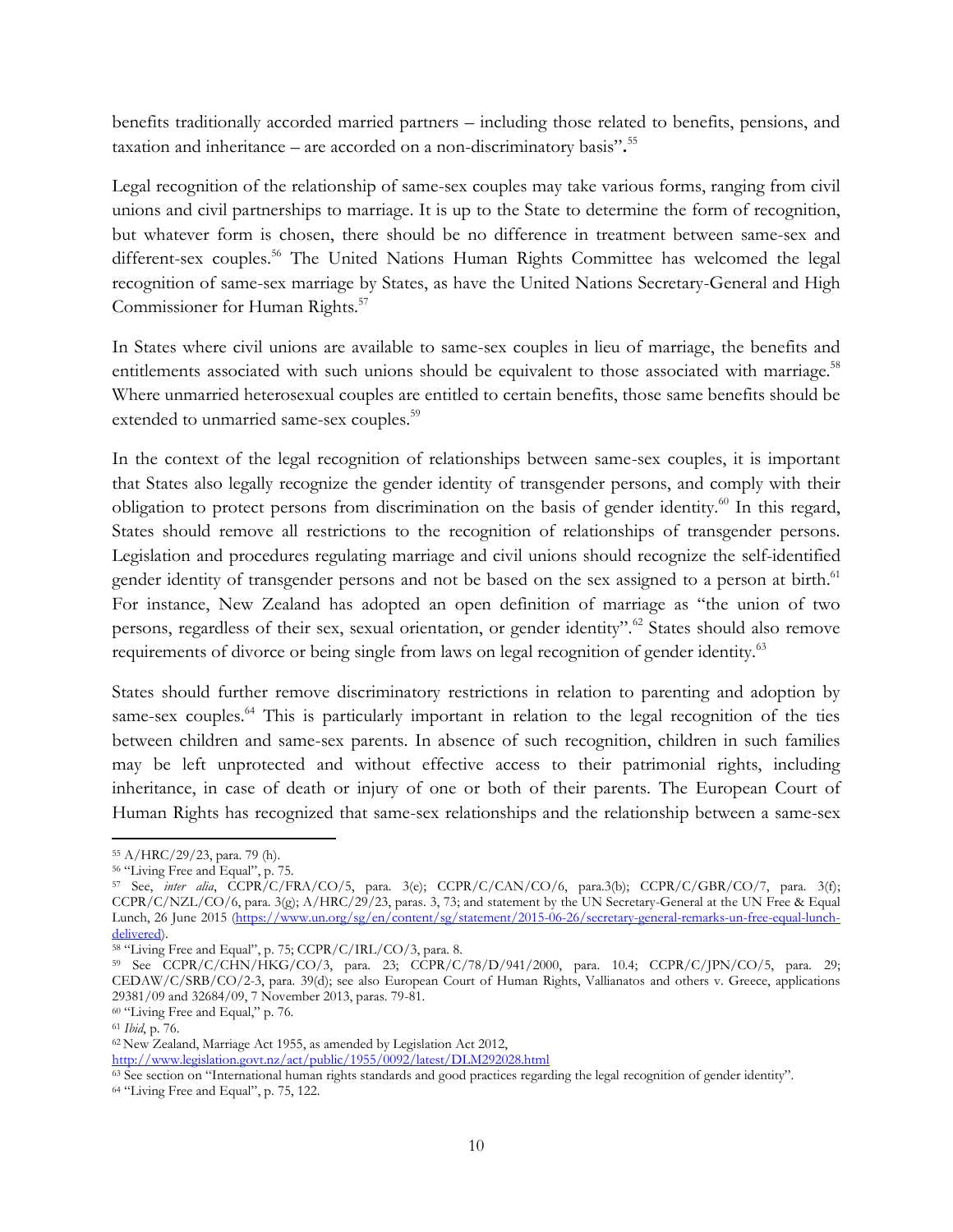benefits traditionally accorded married partners – including those related to benefits, pensions, and taxation and inheritance – are accorded on a non-discriminatory basis"**.** 55

Legal recognition of the relationship of same-sex couples may take various forms, ranging from civil unions and civil partnerships to marriage. It is up to the State to determine the form of recognition, but whatever form is chosen, there should be no difference in treatment between same-sex and different-sex couples.<sup>56</sup> The United Nations Human Rights Committee has welcomed the legal recognition of same-sex marriage by States, as have the United Nations Secretary-General and High Commissioner for Human Rights. 57

In States where civil unions are available to same-sex couples in lieu of marriage, the benefits and entitlements associated with such unions should be equivalent to those associated with marriage.<sup>58</sup> Where unmarried heterosexual couples are entitled to certain benefits, those same benefits should be extended to unmarried same-sex couples.<sup>59</sup>

In the context of the legal recognition of relationships between same-sex couples, it is important that States also legally recognize the gender identity of transgender persons, and comply with their obligation to protect persons from discrimination on the basis of gender identity.<sup>60</sup> In this regard, States should remove all restrictions to the recognition of relationships of transgender persons. Legislation and procedures regulating marriage and civil unions should recognize the self-identified gender identity of transgender persons and not be based on the sex assigned to a person at birth.<sup>61</sup> For instance, New Zealand has adopted an open definition of marriage as "the union of two persons, regardless of their sex, sexual orientation, or gender identity".<sup>62</sup> States should also remove requirements of divorce or being single from laws on legal recognition of gender identity.<sup>63</sup>

States should further remove discriminatory restrictions in relation to parenting and adoption by same-sex couples.<sup>64</sup> This is particularly important in relation to the legal recognition of the ties between children and same-sex parents. In absence of such recognition, children in such families may be left unprotected and without effective access to their patrimonial rights, including inheritance, in case of death or injury of one or both of their parents. The European Court of Human Rights has recognized that same-sex relationships and the relationship between a same-sex

 $\overline{\phantom{a}}$ 

<sup>55</sup> A/HRC/29/23, para. 79 (h).

<sup>56</sup> "Living Free and Equal", p. 75.

<sup>57</sup> See, *inter alia*, CCPR/C/FRA/CO/5, para. 3(e); CCPR/C/CAN/CO/6, para.3(b); CCPR/C/GBR/CO/7, para. 3(f); CCPR/C/NZL/CO/6, para. 3(g); A/HRC/29/23, paras. 3, 73; and statement by the UN Secretary-General at the UN Free & Equal Lunch, 26 June 2015 [\(https://www.un.org/sg/en/content/sg/statement/2015-06-26/secretary-general-remarks-un-free-equal-lunch](https://www.un.org/sg/en/content/sg/statement/2015-06-26/secretary-general-remarks-un-free-equal-lunch-delivered)[delivered\)](https://www.un.org/sg/en/content/sg/statement/2015-06-26/secretary-general-remarks-un-free-equal-lunch-delivered).

<sup>58</sup> "Living Free and Equal", p. 75; CCPR/C/IRL/CO/3, para. 8.

<sup>59</sup> See CCPR/C/CHN/HKG/CO/3, para. 23; CCPR/C/78/D/941/2000, para. 10.4; CCPR/C/JPN/CO/5, para. 29; CEDAW/C/SRB/CO/2-3, para. 39(d); see also European Court of Human Rights, Vallianatos and others v. Greece, applications 29381/09 and 32684/09, 7 November 2013, paras. 79-81.

<sup>60</sup> "Living Free and Equal," p. 76.

<sup>61</sup> *Ibid*, p. 76.

<sup>62</sup> New Zealand, Marriage Act 1955, as amended by Legislation Act 2012, <http://www.legislation.govt.nz/act/public/1955/0092/latest/DLM292028.html>

<sup>63</sup> See section on "International human rights standards and good practices regarding the legal recognition of gender identity".

<sup>64</sup> "Living Free and Equal", p. 75, 122.